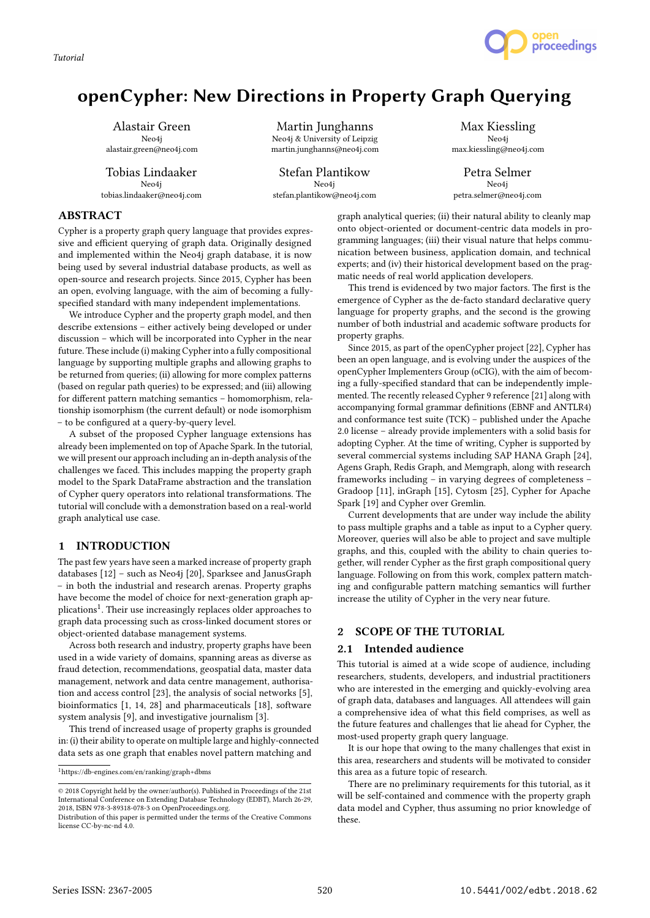*Tutorial*



# openCypher: New Directions in Property Graph Querying

Alastair Green Neo4j alastair.green@neo4j.com

Tobias Lindaaker Neo4j tobias.lindaaker@neo4j.com

Martin Junghanns Neo4j & University of Leipzig martin.junghanns@neo4j.com

Stefan Plantikow Neo4j stefan.plantikow@neo4j.com

Max Kiessling Neo4j max.kiessling@neo4j.com

Petra Selmer Neo4j petra.selmer@neo4j.com

## ABSTRACT

Cypher is a property graph query language that provides expressive and efficient querying of graph data. Originally designed and implemented within the Neo4j graph database, it is now being used by several industrial database products, as well as open-source and research projects. Since 2015, Cypher has been an open, evolving language, with the aim of becoming a fullyspecified standard with many independent implementations.

We introduce Cypher and the property graph model, and then describe extensions – either actively being developed or under discussion – which will be incorporated into Cypher in the near future. These include (i) making Cypher into a fully compositional language by supporting multiple graphs and allowing graphs to be returned from queries; (ii) allowing for more complex patterns (based on regular path queries) to be expressed; and (iii) allowing for different pattern matching semantics – homomorphism, relationship isomorphism (the current default) or node isomorphism – to be configured at a query-by-query level.

A subset of the proposed Cypher language extensions has already been implemented on top of Apache Spark. In the tutorial, we will present our approach including an in-depth analysis of the challenges we faced. This includes mapping the property graph model to the Spark DataFrame abstraction and the translation of Cypher query operators into relational transformations. The tutorial will conclude with a demonstration based on a real-world graph analytical use case.

#### 1 INTRODUCTION

The past few years have seen a marked increase of property graph databases [12] – such as Neo4j [20], Sparksee and JanusGraph – in both the industrial and research arenas. Property graphs have become the model of choice for next-generation graph applications<sup>1</sup>. Their use increasingly replaces older approaches to graph data processing such as cross-linked document stores or object-oriented database management systems.

Across both research and industry, property graphs have been used in a wide variety of domains, spanning areas as diverse as fraud detection, recommendations, geospatial data, master data management, network and data centre management, authorisation and access control [23], the analysis of social networks [5], bioinformatics [1, 14, 28] and pharmaceuticals [18], software system analysis [9], and investigative journalism [3].

This trend of increased usage of property graphs is grounded in: (i) their ability to operate on multiple large and highly-connected data sets as one graph that enables novel pattern matching and

graph analytical queries; (ii) their natural ability to cleanly map onto object-oriented or document-centric data models in programming languages; (iii) their visual nature that helps communication between business, application domain, and technical experts; and (iv) their historical development based on the pragmatic needs of real world application developers.

This trend is evidenced by two major factors. The first is the emergence of Cypher as the de-facto standard declarative query language for property graphs, and the second is the growing number of both industrial and academic software products for property graphs.

Since 2015, as part of the openCypher project [22], Cypher has been an open language, and is evolving under the auspices of the openCypher Implementers Group (oCIG), with the aim of becoming a fully-specified standard that can be independently implemented. The recently released Cypher 9 reference [21] along with accompanying formal grammar definitions (EBNF and ANTLR4) and conformance test suite (TCK) – published under the Apache 2.0 license – already provide implementers with a solid basis for adopting Cypher. At the time of writing, Cypher is supported by several commercial systems including SAP HANA Graph [24], Agens Graph, Redis Graph, and Memgraph, along with research frameworks including – in varying degrees of completeness – Gradoop [11], inGraph [15], Cytosm [25], Cypher for Apache Spark [19] and Cypher over Gremlin.

Current developments that are under way include the ability to pass multiple graphs and a table as input to a Cypher query. Moreover, queries will also be able to project and save multiple graphs, and this, coupled with the ability to chain queries together, will render Cypher as the first graph compositional query language. Following on from this work, complex pattern matching and configurable pattern matching semantics will further increase the utility of Cypher in the very near future.

## 2 SCOPE OF THE TUTORIAL

## 2.1 Intended audience

This tutorial is aimed at a wide scope of audience, including researchers, students, developers, and industrial practitioners who are interested in the emerging and quickly-evolving area of graph data, databases and languages. All attendees will gain a comprehensive idea of what this field comprises, as well as the future features and challenges that lie ahead for Cypher, the most-used property graph query language.

It is our hope that owing to the many challenges that exist in this area, researchers and students will be motivated to consider this area as a future topic of research.

There are no preliminary requirements for this tutorial, as it will be self-contained and commence with the property graph data model and Cypher, thus assuming no prior knowledge of these.

 $^1$ https://db-engines.com/en/ranking/graph+dbms

 $\odot$  2018 Copyright held by the owner/author(s). Published in Proceedings of the 21st International Conference on Extending Database Technology (EDBT), March 26-29, 2018, ISBN 978-3-89318-078-3 on OpenProceedings.org.

Distribution of this paper is permitted under the terms of the Creative Commons license CC-by-nc-nd 4.0.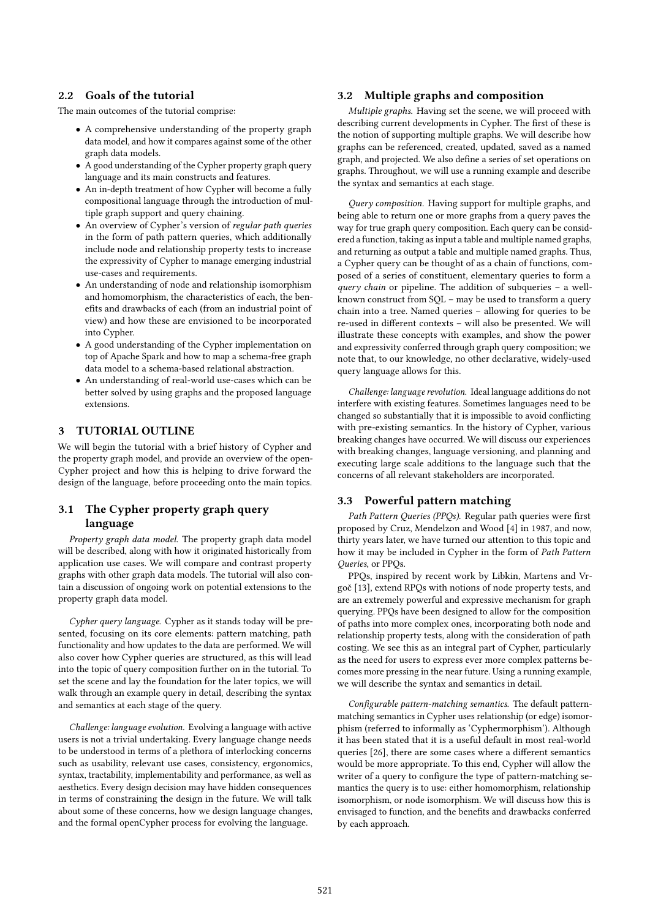## 2.2 Goals of the tutorial

The main outcomes of the tutorial comprise:

- A comprehensive understanding of the property graph data model, and how it compares against some of the other graph data models.
- A good understanding of the Cypher property graph query language and its main constructs and features.
- An in-depth treatment of how Cypher will become a fully compositional language through the introduction of multiple graph support and query chaining.
- An overview of Cypher's version of regular path queries in the form of path pattern queries, which additionally include node and relationship property tests to increase the expressivity of Cypher to manage emerging industrial use-cases and requirements.
- An understanding of node and relationship isomorphism and homomorphism, the characteristics of each, the benefits and drawbacks of each (from an industrial point of view) and how these are envisioned to be incorporated into Cypher.
- A good understanding of the Cypher implementation on top of Apache Spark and how to map a schema-free graph data model to a schema-based relational abstraction.
- An understanding of real-world use-cases which can be better solved by using graphs and the proposed language extensions.

## 3 TUTORIAL OUTLINE

We will begin the tutorial with a brief history of Cypher and the property graph model, and provide an overview of the open-Cypher project and how this is helping to drive forward the design of the language, before proceeding onto the main topics.

## 3.1 The Cypher property graph query language

Property graph data model. The property graph data model will be described, along with how it originated historically from application use cases. We will compare and contrast property graphs with other graph data models. The tutorial will also contain a discussion of ongoing work on potential extensions to the property graph data model.

Cypher query language. Cypher as it stands today will be presented, focusing on its core elements: pattern matching, path functionality and how updates to the data are performed. We will also cover how Cypher queries are structured, as this will lead into the topic of query composition further on in the tutorial. To set the scene and lay the foundation for the later topics, we will walk through an example query in detail, describing the syntax and semantics at each stage of the query.

Challenge: language evolution. Evolving a language with active users is not a trivial undertaking. Every language change needs to be understood in terms of a plethora of interlocking concerns such as usability, relevant use cases, consistency, ergonomics, syntax, tractability, implementability and performance, as well as aesthetics. Every design decision may have hidden consequences in terms of constraining the design in the future. We will talk about some of these concerns, how we design language changes, and the formal openCypher process for evolving the language.

## 3.2 Multiple graphs and composition

Multiple graphs. Having set the scene, we will proceed with describing current developments in Cypher. The first of these is the notion of supporting multiple graphs. We will describe how graphs can be referenced, created, updated, saved as a named graph, and projected. We also define a series of set operations on graphs. Throughout, we will use a running example and describe the syntax and semantics at each stage.

Query composition. Having support for multiple graphs, and being able to return one or more graphs from a query paves the way for true graph query composition. Each query can be considered a function, taking as input a table and multiple named graphs, and returning as output a table and multiple named graphs. Thus, a Cypher query can be thought of as a chain of functions, composed of a series of constituent, elementary queries to form a query chain or pipeline. The addition of subqueries – a wellknown construct from SQL – may be used to transform a query chain into a tree. Named queries – allowing for queries to be re-used in different contexts – will also be presented. We will illustrate these concepts with examples, and show the power and expressivity conferred through graph query composition; we note that, to our knowledge, no other declarative, widely-used query language allows for this.

Challenge: language revolution. Ideal language additions do not interfere with existing features. Sometimes languages need to be changed so substantially that it is impossible to avoid conflicting with pre-existing semantics. In the history of Cypher, various breaking changes have occurred. We will discuss our experiences with breaking changes, language versioning, and planning and executing large scale additions to the language such that the concerns of all relevant stakeholders are incorporated.

## 3.3 Powerful pattern matching

Path Pattern Queries (PPQs). Regular path queries were first proposed by Cruz, Mendelzon and Wood [4] in 1987, and now, thirty years later, we have turned our attention to this topic and how it may be included in Cypher in the form of Path Pattern Queries, or PPQs.

PPQs, inspired by recent work by Libkin, Martens and Vrgoč [13], extend RPQs with notions of node property tests, and are an extremely powerful and expressive mechanism for graph querying. PPQs have been designed to allow for the composition of paths into more complex ones, incorporating both node and relationship property tests, along with the consideration of path costing. We see this as an integral part of Cypher, particularly as the need for users to express ever more complex patterns becomes more pressing in the near future. Using a running example, we will describe the syntax and semantics in detail.

Configurable pattern-matching semantics. The default patternmatching semantics in Cypher uses relationship (or edge) isomorphism (referred to informally as 'Cyphermorphism'). Although it has been stated that it is a useful default in most real-world queries [26], there are some cases where a different semantics would be more appropriate. To this end, Cypher will allow the writer of a query to configure the type of pattern-matching semantics the query is to use: either homomorphism, relationship isomorphism, or node isomorphism. We will discuss how this is envisaged to function, and the benefits and drawbacks conferred by each approach.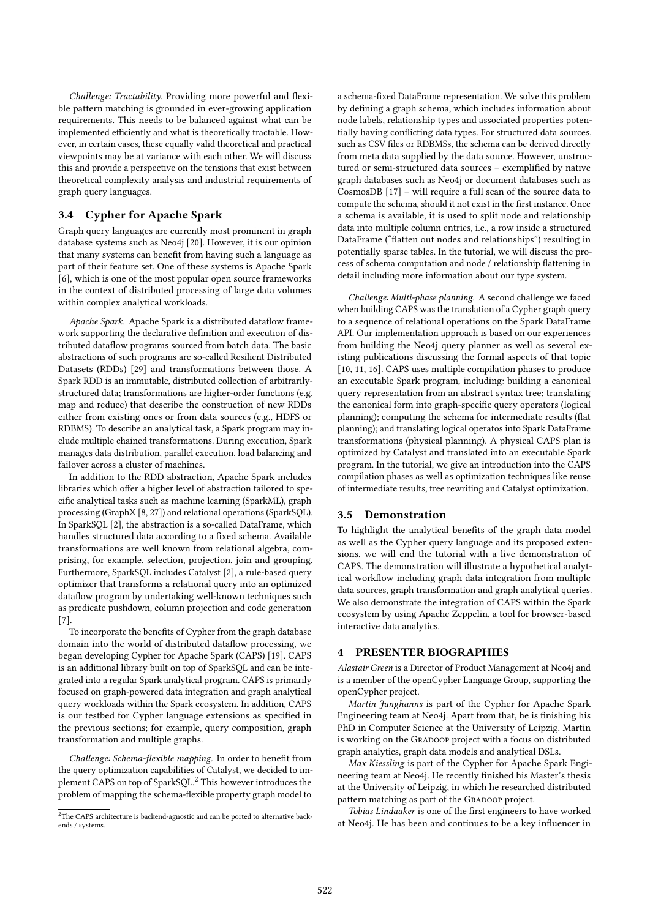Challenge: Tractability. Providing more powerful and flexible pattern matching is grounded in ever-growing application requirements. This needs to be balanced against what can be implemented efficiently and what is theoretically tractable. However, in certain cases, these equally valid theoretical and practical viewpoints may be at variance with each other. We will discuss this and provide a perspective on the tensions that exist between theoretical complexity analysis and industrial requirements of graph query languages.

## 3.4 Cypher for Apache Spark

Graph query languages are currently most prominent in graph database systems such as Neo4j [20]. However, it is our opinion that many systems can benefit from having such a language as part of their feature set. One of these systems is Apache Spark [6], which is one of the most popular open source frameworks in the context of distributed processing of large data volumes within complex analytical workloads.

Apache Spark. Apache Spark is a distributed dataflow framework supporting the declarative definition and execution of distributed dataflow programs sourced from batch data. The basic abstractions of such programs are so-called Resilient Distributed Datasets (RDDs) [29] and transformations between those. A Spark RDD is an immutable, distributed collection of arbitrarilystructured data; transformations are higher-order functions (e.g. map and reduce) that describe the construction of new RDDs either from existing ones or from data sources (e.g., HDFS or RDBMS). To describe an analytical task, a Spark program may include multiple chained transformations. During execution, Spark manages data distribution, parallel execution, load balancing and failover across a cluster of machines.

In addition to the RDD abstraction, Apache Spark includes libraries which offer a higher level of abstraction tailored to specific analytical tasks such as machine learning (SparkML), graph processing (GraphX [8, 27]) and relational operations (SparkSQL). In SparkSQL [2], the abstraction is a so-called DataFrame, which handles structured data according to a fixed schema. Available transformations are well known from relational algebra, comprising, for example, selection, projection, join and grouping. Furthermore, SparkSQL includes Catalyst [2], a rule-based query optimizer that transforms a relational query into an optimized dataflow program by undertaking well-known techniques such as predicate pushdown, column projection and code generation [7].

To incorporate the benefits of Cypher from the graph database domain into the world of distributed dataflow processing, we began developing Cypher for Apache Spark (CAPS) [19]. CAPS is an additional library built on top of SparkSQL and can be integrated into a regular Spark analytical program. CAPS is primarily focused on graph-powered data integration and graph analytical query workloads within the Spark ecosystem. In addition, CAPS is our testbed for Cypher language extensions as specified in the previous sections; for example, query composition, graph transformation and multiple graphs.

Challenge: Schema-flexible mapping. In order to benefit from the query optimization capabilities of Catalyst, we decided to implement CAPS on top of SparkSQL.<sup>2</sup> This however introduces the problem of mapping the schema-flexible property graph model to

a schema-fixed DataFrame representation. We solve this problem by defining a graph schema, which includes information about node labels, relationship types and associated properties potentially having conflicting data types. For structured data sources, such as CSV files or RDBMSs, the schema can be derived directly from meta data supplied by the data source. However, unstructured or semi-structured data sources – exemplified by native graph databases such as Neo4j or document databases such as CosmosDB [17] – will require a full scan of the source data to compute the schema, should it not exist in the first instance. Once a schema is available, it is used to split node and relationship data into multiple column entries, i.e., a row inside a structured DataFrame ("flatten out nodes and relationships") resulting in potentially sparse tables. In the tutorial, we will discuss the process of schema computation and node / relationship flattening in detail including more information about our type system.

Challenge: Multi-phase planning. A second challenge we faced when building CAPS was the translation of a Cypher graph query to a sequence of relational operations on the Spark DataFrame API. Our implementation approach is based on our experiences from building the Neo4j query planner as well as several existing publications discussing the formal aspects of that topic [10, 11, 16]. CAPS uses multiple compilation phases to produce an executable Spark program, including: building a canonical query representation from an abstract syntax tree; translating the canonical form into graph-specific query operators (logical planning); computing the schema for intermediate results (flat planning); and translating logical operatos into Spark DataFrame transformations (physical planning). A physical CAPS plan is optimized by Catalyst and translated into an executable Spark program. In the tutorial, we give an introduction into the CAPS compilation phases as well as optimization techniques like reuse of intermediate results, tree rewriting and Catalyst optimization.

## 3.5 Demonstration

To highlight the analytical benefits of the graph data model as well as the Cypher query language and its proposed extensions, we will end the tutorial with a live demonstration of CAPS. The demonstration will illustrate a hypothetical analytical workflow including graph data integration from multiple data sources, graph transformation and graph analytical queries. We also demonstrate the integration of CAPS within the Spark ecosystem by using Apache Zeppelin, a tool for browser-based interactive data analytics.

#### 4 PRESENTER BIOGRAPHIES

Alastair Green is a Director of Product Management at Neo4j and is a member of the openCypher Language Group, supporting the openCypher project.

Martin Junghanns is part of the Cypher for Apache Spark Engineering team at Neo4j. Apart from that, he is finishing his PhD in Computer Science at the University of Leipzig. Martin is working on the GRADOOP project with a focus on distributed graph analytics, graph data models and analytical DSLs.

Max Kiessling is part of the Cypher for Apache Spark Engineering team at Neo4j. He recently finished his Master's thesis at the University of Leipzig, in which he researched distributed pattern matching as part of the GRADOOP project.

Tobias Lindaaker is one of the first engineers to have worked at Neo4j. He has been and continues to be a key influencer in

 $^{2}$  The CAPS architecture is backend-agnostic and can be ported to alternative backends / systems.